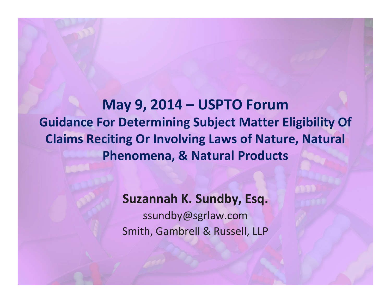**May 9, 2014 – USPTO Forum Guidance For Determining Subject Matter Eligibility Of Claims Reciting Or Involving Laws of Nature, Natural Phenomena, & Natural Products**

> **Suzannah K. Sundby, Esq.** ssundby@sgrlaw.com Smith, Gambrell & Russell, LLP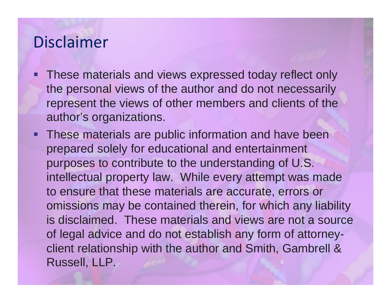## Disclaimer

- **Service Service**  These materials and views expressed today reflect only the personal views of the author and do not necessarily represent the views of other members and clients of the author's organizations.
- **These materials are public information and have been** prepared solely for educational and entertainment purposes to contribute to the understanding of U.S. intellectual property law. While every attempt was made to ensure that these materials are accurate, errors or omissions may be contained therein, for which any liability is disclaimed. These materials and views are not a source of legal advice and do not establish any form of attorneyclient relationship with the author and Smith, Gambrell & Russell, LLP.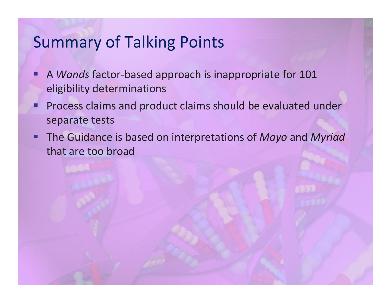## Summary of Talking Points

- Ξ ■ A *Wands* factor-based approach is inappropriate for 101 eligibility determinations
- Ξ **Process claims and product claims should be evaluated under** separate tests
- Ξ The Guidance is based on interpretations of *Mayo* and *Myriad* that are too broad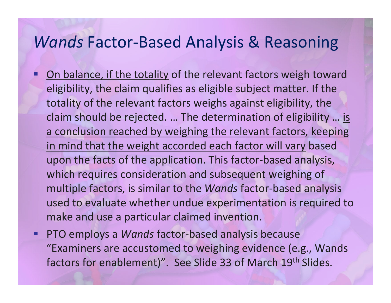#### *Wands* Factor‐Based Analysis & Reasoning

- Ξ **- On balance, if the totality of the relevant factors weigh toward** eligibility, the claim qualifies as eligible subject matter. If the totality of the relevant factors weighs against eligibility, the claim should be rejected. ... The determination of eligibility ... <u>is</u> a conclusion reached by weighing the relevant factors, keeping in mind that the weight accorded each factor will vary based upon the facts of the application. This factor‐based analysis, which requires consideration and subsequent weighing of multiple factors, is similar to the *Wands* factor‐based analysis used to evaluate whether undue experimentation is required to make and use <sup>a</sup> particular claimed invention.
- Ξ ■ PTO employs a *Wands* factor-based analysis because "Examiners are accustomed to weighing evidence (e.g., Wands factors for enablement)". See Slide 33 of March 19<sup>th</sup> Slides.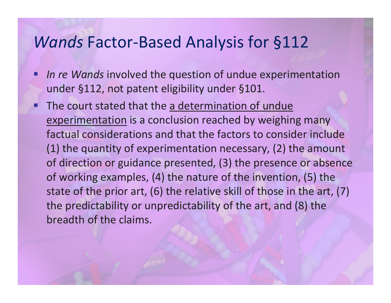#### *Wands* Factor‐Based Analysis for §112

- Ξ *In re Wands* involved the question of undue experimentation under §112, not patent eligibility under §101.
- **The court stated that the a determination of undue** experimentation is <sup>a</sup> conclusion reached by weighing many factual considerations and that the factors to consider include (1) the quantity of experimentation necessary, (2) the amount of direction or guidance presented, (3) the presence or absence of working examples, (4) the nature of the invention, (5) the state of the prior art, (6) the relative skill of those in the art, (7) the predictability or unpredictability of the art, and (8) the breadth of the claims.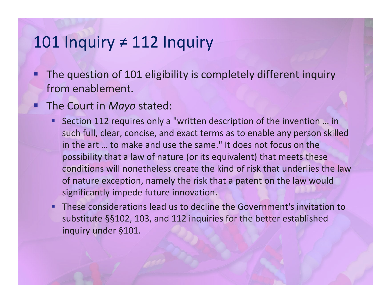### 101 Inquiry <sup>≠</sup>112 Inquiry

- Ξ **The question of 101 eligibility is completely different inquiry** from enablement.
- Ξ **The Court in Mayo stated:** 
	- Ξ ■ Section 112 requires only a "written description of the invention ... in such full, clear, concise, and exact terms as to enable any person skilled in the art … to make and use the same." It does not focus on the possibility that <sup>a</sup> law of nature (or its equivalent) that meets these conditions will nonetheless create the kind of risk that underlies the lawof nature exception, namely the risk that <sup>a</sup> patent on the law would significantly impede future innovation.
	- F These considerations lead us to decline the Government's invitation to substitute §§102, 103, and 112 inquiries for the better established inquiry under §101.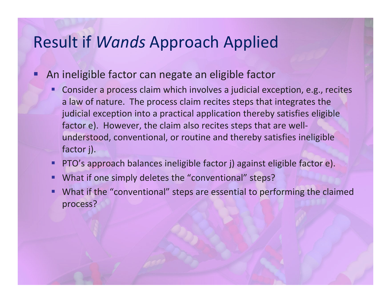### Result if *Wands* Approach Applied

**An ineligible factor can negate an eligible factor** 

Ξ

- Ξ Consider <sup>a</sup> process claim which involves <sup>a</sup> judicial exception, e.g., recites a law of nature. The process claim recites steps that integrates the judicial exception into <sup>a</sup> practical application thereby satisfies eligible factor e). However, the claim also recites steps that are well‐ understood, conventional, or routine and thereby satisfies ineligible factor j).
- П PTO's approach balances ineligible factor j) against eligible factor e).
- I. ■ What if one simply deletes the "conventional" steps?
- L. What if the "conventional" steps are essential to performing the claimed process?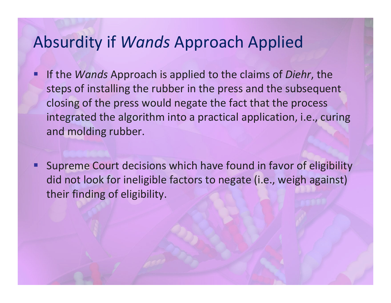## Absurdity if *Wands* Approach Applied

- Ξ **If the** *Wands* **Approach is applied to the claims of** *Diehr***, the** steps of installing the rubber in the press and the subsequent closing of the press would negate the fact that the process integrated the algorithm into <sup>a</sup> practical application, i.e., curing and molding rubber.
- I. Supreme Court decisions which have found in favor of eligibility did not look for ineligible factors to negate (i.e., weigh against) their finding of eligibility.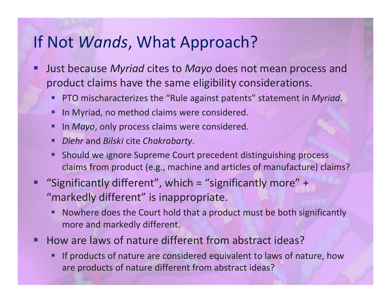### If Not *Wands*, What Approach?

- Ŧ Just because *Myriad* cites to *Mayo* does not mean process and product claims have the same eligibility considerations.
	- Ξ PTO mischaracterizes the "Rule against patents" statement in *Myriad*.
	- **STATE IF In Myriad, no method claims were considered.**
	- **Service Service In** *Mayo*, only process claims were considered.
	- Ξ *Diehr* and *Bilski* cite *Chakrabarty*.
	- π Should we ignore Supreme Court precedent distinguishing process claims from product (e.g., machine and articles of manufacture) claims?
- Ξ "Significantly different", which <sup>=</sup> "significantly more" <sup>+</sup> "markedly different" is inappropriate.
	- Ξ Nowhere does the Court hold that <sup>a</sup> product must be both significantly more and markedly different.
- Ξ ■ How are laws of nature different from abstract ideas?
	- Ξ If products of nature are considered equivalent to laws of nature, how are products of nature different from abstract ideas?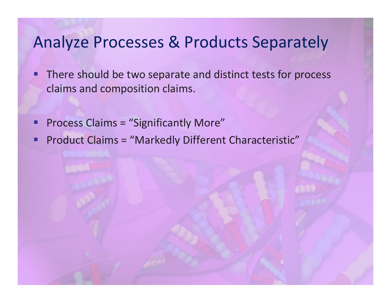## Analyze Processes & Products Separately

- Ξ **There should be two separate and distinct tests for process** claims and composition claims.
- Ξ **Process Claims = "Significantly More"**
- $\blacksquare$ **Product Claims = "Markedly Different Characteristic"**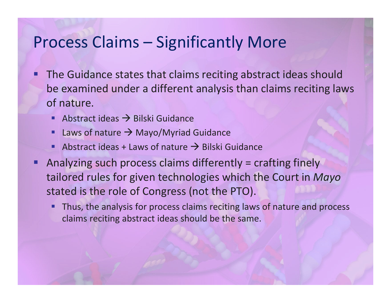### Process Claims – Significantly More

- Ξ **The Guidance states that claims reciting abstract ideas should** be examined under <sup>a</sup> different analysis than claims reciting laws of nature.
	- Ξ Abstract ideas  $\rightarrow$  Bilski Guidance
	- Ξ Laws of nature  $\rightarrow$  Mayo/Myriad Guidance
	- Ξ Abstract ideas + Laws of nature  $\rightarrow$  Bilski Guidance
- Ξ Analyzing such process claims differently <sup>=</sup> crafting finely tailored rules for given technologies which the Court in *Mayo* stated is the role of Congress (not the PTO).
	- Ξ Thus, the analysis for process claims reciting laws of nature and process claims reciting abstract ideas should be the same.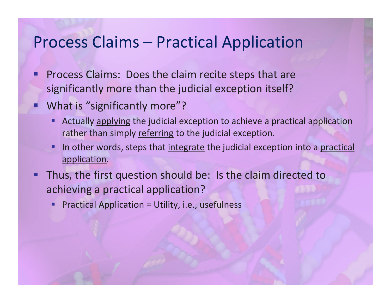#### Process Claims – Practical Application

- Ξ **Process Claims: Does the claim recite steps that are** significantly more than the judicial exception itself?
- Ξ What is "significantly more"?
	- Ξ Actually applying the judicial exception to achieve <sup>a</sup> practical application rather than simply <u>referring</u> to the judicial exception.
	- Ξ In other words, steps that integrate the judicial exception into a practical application.
- Ξ Thus, the first question should be: Is the claim directed to achieving <sup>a</sup> practical application?
	- **STATE** Practical Application <sup>=</sup> Utility, i.e., usefulness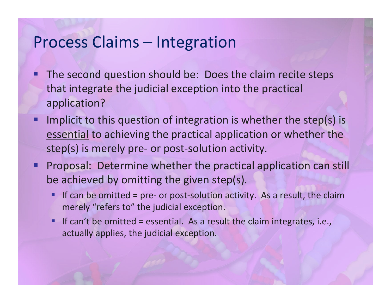#### Process Claims – Integration

- Ξ **The second question should be: Does the claim recite steps** that integrate the judicial exception into the practical application?
- Ξ Implicit to this question of integration is whether the step(s) is essential to achieving the practical application or whether the step(s) is merely pre- or post-solution activity.
- I. Proposal: Determine whether the practical application can still be achieved by omitting the given step(s).
	- **Contract Contract Contract Contract Contract Contract Contract Contract Contract Contract Contract Contract C** ■ If can be omitted = pre- or post-solution activity. As a result, the claim merely "refers to" the judicial exception.
	- F If can't be omitted = essential. As a result the claim integrates, i.e., actually applies, the judicial exception.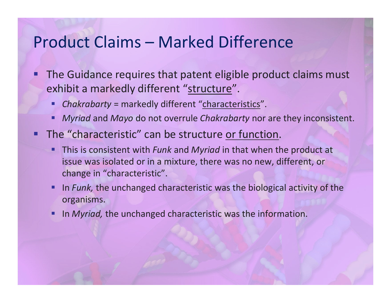#### Product Claims – Marked Difference

- Ξ **The Guidance requires that patent eligible product claims must** exhibit a markedly different "<u>structure</u>".
	- Ξ *Chakrabarty* <sup>=</sup> markedly different "characteristics".
	- **STATE** *Myriad* and *Mayo* do not overrule *Chakrabarty* nor are they inconsistent.
- **The "characteristic" can be structure or function.** 
	- **STATE**  This is consistent with *Funk* and *Myriad* in that when the product at issue was isolated or in <sup>a</sup> mixture, there was no new, different, or change in "characteristic".
	- **Contract Contract Contract Contract Contract Contract Contract Contract Contract Contract Contract Contract C IF 11 Funk, the unchanged characteristic was the biological activity of the** organisms.
	- Ξ **In** *Myriad*, the unchanged characteristic was the information.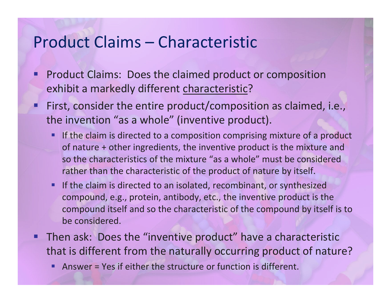#### Product Claims – Characteristic

- Ξ **Product Claims: Does the claimed product or composition** exhibit a markedly different <u>characteristic</u>?
- Ξ First, consider the entire product/composition as claimed, i.e., the invention "as <sup>a</sup> whole" (inventive product).
	- Ξ **If the claim is directed to a composition comprising mixture of a product** of nature <sup>+</sup> other ingredients, the inventive product is the mixture and so the characteristics of the mixture "as <sup>a</sup> whole" must be considered rather than the characteristic of the product of nature by itself.
	- **STATE If the claim is directed to an isolated, recombinant, or synthesized** compound, e.g., protein, antibody, etc., the inventive product is the compound itself and so the characteristic of the compound by itself is to be considered.
- **Then ask: Does the "inventive product" have a characteristic** that is different from the naturally occurring product of nature?
	- **Contract Contract Contract Contract Contract Contract Contract Contract Contract Contract Contract Contract C** Answer <sup>=</sup> Yes if either the structure or function is different.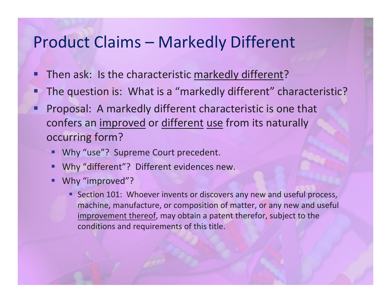#### Product Claims – Markedly Different

- Ξ **Then ask: Is the characteristic markedly different?**
- ■ The question is: What is a "markedly different" characteristic?
- Ξ Proposal: A markedly different characteristic is one that confers an <u>improved</u> or <u>different use</u> from its naturally occurring form?
	- Ξ Why "use"? Supreme Court precedent.
	- Ξ Why "different"? Different evidences new.
	- **STATE** Why "improved"?
		- **Section 101: Whoever invents or discovers any new and useful process,** machine, manufacture, or composition of matter, or any new and useful improvement thereof, may obtain <sup>a</sup> patent therefor, subject to the conditions and requirements of this title.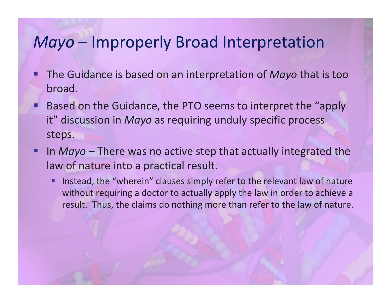## *Mayo* – Improperly Broad Interpretation

- Ξ The Guidance is based on an interpretation of *Mayo* that is too broad.
- Ξ Based on the Guidance, the PTO seems to interpret the "apply it" discussion in *Mayo* as requiring unduly specific process steps.
- Ξ **IF In** *Mayo* – There was no active step that actually integrated the law of nature into <sup>a</sup> practical result.
	- **STATE**  Instead, the "wherein" clauses simply refer to the relevant law of nature without requiring <sup>a</sup> doctor to actually apply the law in order to achieve <sup>a</sup> result. Thus, the claims do nothing more than refer to the law of nature.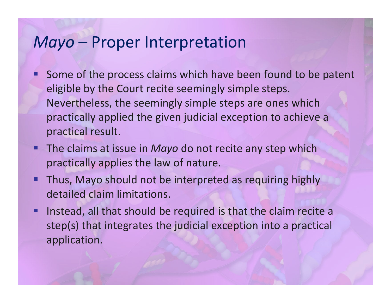#### *Mayo* – Proper Interpretation

- Ξ **Some of the process claims which have been found to be patent** eligible by the Court recite seemingly simple steps. Nevertheless, the seemingly simple steps are ones which practically applied the given judicial exception to achieve <sup>a</sup> practical result.
- **The claims at issue in** *Mayo* **do not recite any step which** practically applies the law of nature.
- **Thus, Mayo should not be interpreted as requiring highly** detailed claim limitations.
- $\blacksquare$  Instead, all that should be required is that the claim recite <sup>a</sup> step(s) that integrates the judicial exception into <sup>a</sup> practical application.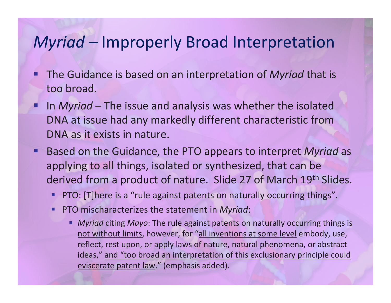## *Myriad –* Improperly Broad Interpretation

- Ξ The Guidance is based on an interpretation of *Myriad* that is too broad.
- Ξ **IF In** *Myriad* – The issue and analysis was whether the isolated DNA at issue had any markedly different characteristic from DNA as it exists in nature.
- Based on the Guidance, the PTO appears to interpret *Myriad* as applying to all things, isolated or synthesized, that can be derived from a product of nature. Slide 27 of March 19<sup>th</sup> Slides.
	- **Contract Contract Contract Contract Contract Contract Contract Contract Contract Contract Contract Contract C** PTO: [T]here is <sup>a</sup> "rule against patents on naturally occurring things".
	- Ξ PTO mischaracterizes the statement in *Myriad*:
		- *Myriad* citing *Mayo*: The rule against patents on naturally occurring things is not without limits, however, for "all inventions at some level embody, use, reflect, rest upon, or apply laws of nature, natural phenomena, or abstract ideas," and "too broad an interpretation of this exclusionary principle could eviscerate patent law." (emphasis added).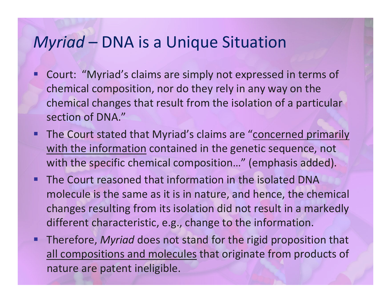## *Myriad* – DNA is <sup>a</sup> Unique Situation

- Ξ Court: "Myriad's claims are simply not expressed in terms of chemical composition, nor do they rely in any way on the chemical changes that result from the isolation of <sup>a</sup> particular section of DNA."
- **The Court stated that Myriad's claims are "concerned primarily** with the information contained in the genetic sequence, not with the specific chemical composition…" (emphasis added).
- **The Court reasoned that information in the isolated DNA** molecule is the same as it is in nature, and hence, the chemical changes resulting from its isolation did not result in <sup>a</sup> markedly different characteristic, e.g., change to the information.
- Therefore, *Myriad* does not stand for the rigid proposition that all compositions and molecules that originate from products of nature are patent ineligible.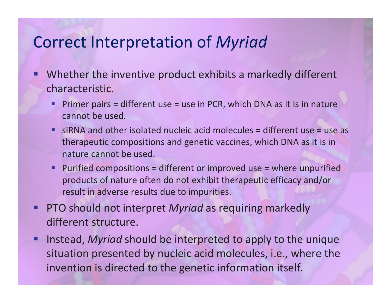### Correct Interpretation of *Myriad*

- Ξ Whether the inventive product exhibits <sup>a</sup> markedly different characteristic.
	- Ξ Primer pairs <sup>=</sup> different use <sup>=</sup> use in PCR, which DNA as it is in nature cannot be used.
	- siRNA and other isolated nucleic acid molecules <sup>=</sup> different use <sup>=</sup> use as therapeutic compositions and genetic vaccines, which DNA as it is in nature cannot be used.
	- L. Purified compositions <sup>=</sup> different or improved use <sup>=</sup> where unpurified products of nature often do not exhibit therapeutic efficacy and/or result in adverse results due to impurities.
- Ξ PTO should not interpret *Myriad* as requiring markedly different structure.
- Ξ Instead, *Myriad* should be interpreted to apply to the unique situation presented by nucleic acid molecules, i.e., where the invention is directed to the genetic information itself.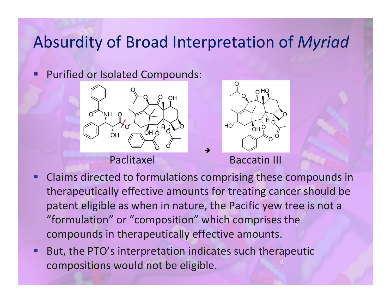## Absurdity of Broad Interpretation of *Myriad*

F **Purified or Isolated Compounds:** 



#### Paclitaxel



**Baccatin III** 

- Claims directed to formulations comprising these compounds in therapeutically effective amounts for treating cancer should be patent eligible as when in nature, the Pacific yew tree is not <sup>a</sup> "formulation" or "composition" which comprises the compounds in therapeutically effective amounts.
- П But, the PTO's interpretation indicates such therapeutic compositions would not be eligible.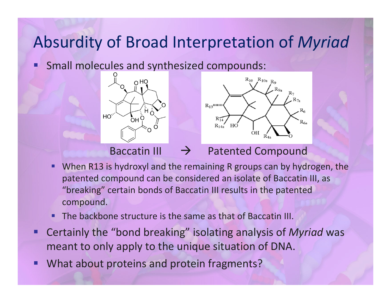## Absurdity of Broad Interpretation of *Myriad*

**Small molecules and synthesized compounds:** 





Baccatin III  $\rightarrow$ 

#### $\rightarrow$  Patented Compound

- Ξ When R13 is hydroxyl and the remaining R groups can by hydrogen, the patented compound can be considered an isolate of Baccatin III, as "breaking" certain bonds of Baccatin III results in the patented compound.
- I. **The backbone structure is the same as that of Baccatin III.**
- and the state of the state of the state of the state of the state of the state of the state of the state of th Certainly the "bond breaking" isolating analysis of *Myriad* was meant to only apply to the unique situation of DNA.
- I. What about proteins and protein fragments?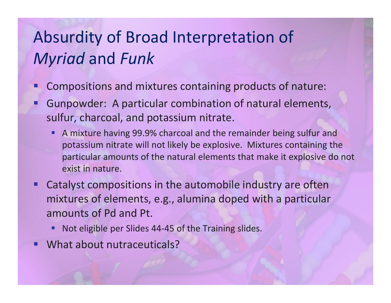# Absurdity of Broad Interpretation of *Myriad* and *Funk*

- Ξ Compositions and mixtures containing products of nature:
- T Gunpowder: A particular combination of natural elements, sulfur, charcoal, and potassium nitrate.
	- Ξ A mixture having 99.9% charcoal and the remainder being sulfur and potassium nitrate will not likely be explosive. Mixtures containing the particular amounts of the natural elements that make it explosive do not exist in nature.
- Ξ Catalyst compositions in the automobile industry are often mixtures of elements, e.g., alumina doped with <sup>a</sup> particular amounts of Pd and Pt.
	- **STATE** Not eligible per Slides 44‐45 of the Training slides.
- and the state of the state of the state of the state of the state of the state of the state of the state of th What about nutraceuticals?